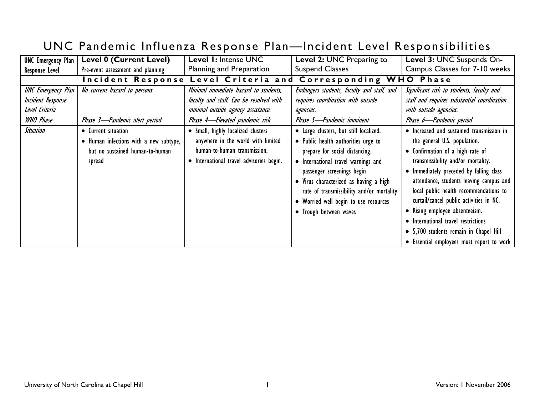| <b>UNC Emergency Plan</b>                                                                                | <b>Level 0 (Current Level)</b>                                                                                                                                              | Level 1: Intense UNC                                                                                                                                                                                                                                                                                             | Level 2: UNC Preparing to                                                                                                                                                                                                                                                                                                                                                                                                                                                  | Level 3: UNC Suspends On-                                                                                                                                                                                                                                                                                                                                                                                                                                                                                                                                                                                                                       |
|----------------------------------------------------------------------------------------------------------|-----------------------------------------------------------------------------------------------------------------------------------------------------------------------------|------------------------------------------------------------------------------------------------------------------------------------------------------------------------------------------------------------------------------------------------------------------------------------------------------------------|----------------------------------------------------------------------------------------------------------------------------------------------------------------------------------------------------------------------------------------------------------------------------------------------------------------------------------------------------------------------------------------------------------------------------------------------------------------------------|-------------------------------------------------------------------------------------------------------------------------------------------------------------------------------------------------------------------------------------------------------------------------------------------------------------------------------------------------------------------------------------------------------------------------------------------------------------------------------------------------------------------------------------------------------------------------------------------------------------------------------------------------|
| <b>Response Level</b>                                                                                    | Pre-event assessment and planning                                                                                                                                           | Planning and Preparation                                                                                                                                                                                                                                                                                         | <b>Suspend Classes</b>                                                                                                                                                                                                                                                                                                                                                                                                                                                     | Campus Classes for 7-10 weeks                                                                                                                                                                                                                                                                                                                                                                                                                                                                                                                                                                                                                   |
|                                                                                                          |                                                                                                                                                                             | Incident Response Level Criteria and                                                                                                                                                                                                                                                                             | Corresponding WHO Phase                                                                                                                                                                                                                                                                                                                                                                                                                                                    |                                                                                                                                                                                                                                                                                                                                                                                                                                                                                                                                                                                                                                                 |
| <b>UNC Emergency Plan</b><br>Incident Response<br>Level Criteria<br><b>WHO Phase</b><br><b>Situation</b> | No current hazard to persons<br>Phase 3-Pandemic alert period<br>• Current situation<br>• Human infections with a new subtype,<br>but no sustained human-to-human<br>spread | Minimal immediate hazard to students,<br>faculty and staff. Can be resolved with<br>minimal outside agency assistance.<br>Phase 4-Elevated pandemic risk<br>· Small, highly localized clusters<br>anywhere in the world with limited<br>human-to-human transmission.<br>• International travel advisories begin. | Endangers students, faculty and staff, and<br>requires coordination with outside<br>agencies.<br>Phase 5-Pandemic imminent<br>• Large clusters, but still localized.<br>• Public health authorities urge to<br>prepare for social distancing.<br>International travel warnings and<br>passenger screenings begin<br>• Virus characterized as having a high<br>rate of transmissibility and/or mortality<br>• Worried well begin to use resources<br>• Trough between waves | Significant risk to students, faculty and<br>staff and requires substantial coordination<br>with outside agencies.<br>Phase 6-Pandemic period<br>• Increased and sustained transmission in<br>the general U.S. population.<br>• Confirmation of a high rate of<br>transmissibility and/or mortality.<br>• Immediately preceded by falling class<br>attendance, students leaving campus and<br>local public health recommendations to<br>curtail/cancel public activities in NC.<br>• Rising employee absenteeism.<br>• International travel restrictions<br>• 5,700 students remain in Chapel Hill<br>• Essential employees must report to work |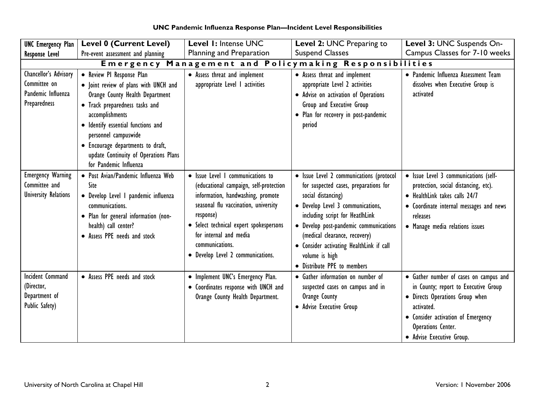| UNC Pandemic Influenza Response Plan-Incident Level Responsibilities |  |
|----------------------------------------------------------------------|--|
|----------------------------------------------------------------------|--|

| <b>UNC Emergency Plan</b>                                                   | <b>Level 0 (Current Level)</b>                                                                                                                                                                                                                                                                                                   | Level 1: Intense UNC                                                                                                                                                                                                                                                                               | Level 2: UNC Preparing to                                                                                                                                                                                                                                                                                                                               | Level 3: UNC Suspends On-                                                                                                                                                                                                |  |
|-----------------------------------------------------------------------------|----------------------------------------------------------------------------------------------------------------------------------------------------------------------------------------------------------------------------------------------------------------------------------------------------------------------------------|----------------------------------------------------------------------------------------------------------------------------------------------------------------------------------------------------------------------------------------------------------------------------------------------------|---------------------------------------------------------------------------------------------------------------------------------------------------------------------------------------------------------------------------------------------------------------------------------------------------------------------------------------------------------|--------------------------------------------------------------------------------------------------------------------------------------------------------------------------------------------------------------------------|--|
| <b>Response Level</b>                                                       | Pre-event assessment and planning                                                                                                                                                                                                                                                                                                | Planning and Preparation                                                                                                                                                                                                                                                                           | <b>Suspend Classes</b>                                                                                                                                                                                                                                                                                                                                  | Campus Classes for 7-10 weeks                                                                                                                                                                                            |  |
|                                                                             | Emergency Management and Policymaking Responsibilities                                                                                                                                                                                                                                                                           |                                                                                                                                                                                                                                                                                                    |                                                                                                                                                                                                                                                                                                                                                         |                                                                                                                                                                                                                          |  |
| Chancellor's Advisory<br>Committee on<br>Pandemic Influenza<br>Preparedness | • Review PI Response Plan<br>· Joint review of plans with UNCH and<br>Orange County Health Department<br>• Track preparedness tasks and<br>accomplishments<br>· Identify essential functions and<br>personnel campuswide<br>• Encourage departments to draft,<br>update Continuity of Operations Plans<br>for Pandemic Influenza | • Assess threat and implement<br>appropriate Level I activities                                                                                                                                                                                                                                    | • Assess threat and implement<br>appropriate Level 2 activities<br>• Advise on activation of Operations<br>Group and Executive Group<br>• Plan for recovery in post-pandemic<br>period                                                                                                                                                                  | • Pandemic Influenza Assessment Team<br>dissolves when Executive Group is<br>activated                                                                                                                                   |  |
| <b>Emergency Warning</b><br>Committee and<br><b>University Relations</b>    | · Post Avian/Pandemic Influenza Web<br>Site<br>• Develop Level I pandemic influenza<br>communications.<br>• Plan for general information (non-<br>health) call center?<br>• Assess PPE needs and stock                                                                                                                           | • Issue Level I communications to<br>(educational campaign, self-protection<br>information, handwashing, promote<br>seasonal flu vaccination, university<br>response)<br>• Select technical expert spokespersons<br>for internal and media<br>communications.<br>• Develop Level 2 communications. | · Issue Level 2 communications (protocol<br>for suspected cases, preparations for<br>social distancing)<br>• Develop Level 3 communications,<br>including script for HeatlhLink<br>• Develop post-pandemic communications<br>(medical clearance, recovery)<br>• Consider activating HealthLink if call<br>volume is high<br>• Distribute PPE to members | · Issue Level 3 communications (self-<br>protection, social distancing, etc).<br>• HealthLink takes calls 24/7<br>• Coordinate internal messages and news<br>releases<br>• Manage media relations issues                 |  |
| <b>Incident Command</b><br>(Director,<br>Department of<br>Public Safety)    | • Assess PPE needs and stock                                                                                                                                                                                                                                                                                                     | • Implement UNC's Emergency Plan.<br>• Coordinates response with UNCH and<br>Orange County Health Department.                                                                                                                                                                                      | • Gather information on number of<br>suspected cases on campus and in<br>Orange County<br>• Advise Executive Group                                                                                                                                                                                                                                      | • Gather number of cases on campus and<br>in County; report to Executive Group<br>· Directs Operations Group when<br>activated.<br>• Consider activation of Emergency<br>Operations Center.<br>• Advise Executive Group. |  |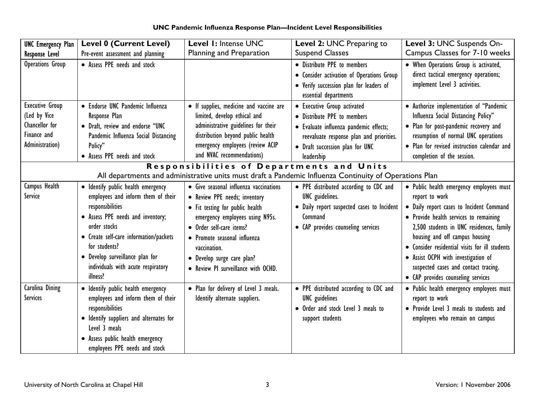**UNC Pandemic Influenza Response Plan—Incident Level Responsibilities** 

| <b>UNC Emergency Plan</b>                                                                  | <b>Level 0 (Current Level)</b>                                                                                                                                                                                                                                                                    | Level 1: Intense UNC                                                                                                                                                                                                                                                                           | Level 2: UNC Preparing to                                                                                                                                                                         | Level 3: UNC Suspends On-                                                                                                                                                                                                                                                                                                                                                                             |
|--------------------------------------------------------------------------------------------|---------------------------------------------------------------------------------------------------------------------------------------------------------------------------------------------------------------------------------------------------------------------------------------------------|------------------------------------------------------------------------------------------------------------------------------------------------------------------------------------------------------------------------------------------------------------------------------------------------|---------------------------------------------------------------------------------------------------------------------------------------------------------------------------------------------------|-------------------------------------------------------------------------------------------------------------------------------------------------------------------------------------------------------------------------------------------------------------------------------------------------------------------------------------------------------------------------------------------------------|
| <b>Response Level</b>                                                                      | Pre-event assessment and planning                                                                                                                                                                                                                                                                 | Planning and Preparation                                                                                                                                                                                                                                                                       | <b>Suspend Classes</b>                                                                                                                                                                            | Campus Classes for 7-10 weeks                                                                                                                                                                                                                                                                                                                                                                         |
| Operations Group                                                                           | • Assess PPE needs and stock                                                                                                                                                                                                                                                                      |                                                                                                                                                                                                                                                                                                | • Distribute PPE to members<br>• Consider activation of Operations Group<br>• Verify succession plan for leaders of<br>essential departments                                                      | • When Operations Group is activated,<br>direct tactical emergency operations;<br>implement Level 3 activities.                                                                                                                                                                                                                                                                                       |
| <b>Executive Group</b><br>(Led by Vice<br>Chancellor for<br>Finance and<br>Administration) | · Endorse UNC Pandemic Influenza<br>Response Plan<br>· Draft, review and endorse "UNC<br>Pandemic Influenza Social Distancing<br>Policy"<br>• Assess PPE needs and stock                                                                                                                          | • If supplies, medicine and vaccine are<br>limited, develop ethical and<br>administrative guidelines for their<br>distribution beyond public health<br>emergency employees (review ACIP<br>and NVAC recommendations)                                                                           | • Executive Group activated<br>• Distribute PPE to members<br>· Evaluate influenza pandemic effects;<br>reevaluate response plan and priorities.<br>• Draft succession plan for UNC<br>leadership | • Authorize implementation of "Pandemic<br>Influenza Social Distancing Policy"<br>• Plan for post-pandemic recovery and<br>resumption of normal UNC operations<br>• Plan for revised instruction calendar and<br>completion of the session.                                                                                                                                                           |
|                                                                                            |                                                                                                                                                                                                                                                                                                   | Responsibilities of Departments and Units                                                                                                                                                                                                                                                      |                                                                                                                                                                                                   |                                                                                                                                                                                                                                                                                                                                                                                                       |
|                                                                                            |                                                                                                                                                                                                                                                                                                   |                                                                                                                                                                                                                                                                                                | All departments and administrative units must draft a Pandemic Influenza Continuity of Operations Plan                                                                                            |                                                                                                                                                                                                                                                                                                                                                                                                       |
| Campus Health<br>Service                                                                   | • Identify public health emergency<br>employees and inform them of their<br>responsibilities<br>• Assess PPE needs and inventory;<br>order stocks<br>• Create self-care information/packets<br>for students?<br>• Develop surveillance plan for<br>individuals with acute respiratory<br>illness? | • Give seasonal influenza vaccinations<br>• Review PPE needs; inventory<br>• Fit testing for public health<br>emergency employees using N95s.<br>• Order self-care items?<br>• Promote seasonal influenza<br>vaccination.<br>· Develop surge care plan?<br>• Review PI surveillance with OCHD. | • PPE distributed according to CDC and<br><b>UNC</b> guidelines.<br>• Daily report suspected cases to Incident<br>Command<br>• CAP provides counseling services                                   | • Public health emergency employees must<br>report to work<br>• Daily report cases to Incident Command<br>• Provide health services to remaining<br>2,500 students in UNC residences, family<br>housing and off campus housing<br>• Consider residential visits for ill students<br>• Assist OCPH with investigation of<br>suspected cases and contact tracing.<br>• CAP provides counseling services |
| Carolina Dining<br><b>Services</b>                                                         | · Identify public health emergency<br>employees and inform them of their<br>responsibilities<br>· Identify suppliers and alternates for<br>Level 3 meals<br>· Assess public health emergency<br>employees PPE needs and stock                                                                     | • Plan for delivery of Level 3 meals.<br>Identify alternate suppliers.                                                                                                                                                                                                                         | • PPE distributed according to CDC and<br><b>UNC</b> guidelines<br>• Order and stock Level 3 meals to<br>support students                                                                         | • Public health emergency employees must<br>report to work<br>• Provide Level 3 meals to students and<br>employees who remain on campus                                                                                                                                                                                                                                                               |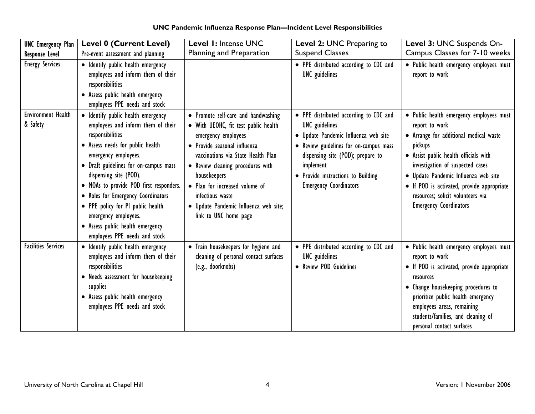| <b>UNC Emergency Plan</b>             | <b>Level 0 (Current Level)</b>                                                                                                                                                                                                                                                                                                                                                                                                                 | Level 1: Intense UNC                                                                                                                                                                                                                                                                                                                                  | Level 2: UNC Preparing to                                                                                                                                                                                                                                                | Level 3: UNC Suspends On-                                                                                                                                                                                                                                                                                                                                |
|---------------------------------------|------------------------------------------------------------------------------------------------------------------------------------------------------------------------------------------------------------------------------------------------------------------------------------------------------------------------------------------------------------------------------------------------------------------------------------------------|-------------------------------------------------------------------------------------------------------------------------------------------------------------------------------------------------------------------------------------------------------------------------------------------------------------------------------------------------------|--------------------------------------------------------------------------------------------------------------------------------------------------------------------------------------------------------------------------------------------------------------------------|----------------------------------------------------------------------------------------------------------------------------------------------------------------------------------------------------------------------------------------------------------------------------------------------------------------------------------------------------------|
| <b>Response Level</b>                 | Pre-event assessment and planning                                                                                                                                                                                                                                                                                                                                                                                                              | Planning and Preparation                                                                                                                                                                                                                                                                                                                              | <b>Suspend Classes</b>                                                                                                                                                                                                                                                   | Campus Classes for 7-10 weeks                                                                                                                                                                                                                                                                                                                            |
| <b>Energy Services</b>                | · Identify public health emergency<br>employees and inform them of their<br>responsibilities<br>• Assess public health emergency<br>employees PPE needs and stock                                                                                                                                                                                                                                                                              |                                                                                                                                                                                                                                                                                                                                                       | • PPE distributed according to CDC and<br><b>UNC</b> guidelines                                                                                                                                                                                                          | · Public health emergency employees must<br>report to work                                                                                                                                                                                                                                                                                               |
| <b>Environment Health</b><br>& Safety | · Identify public health emergency<br>employees and inform them of their<br>responsibilities<br>• Assess needs for public health<br>emergency employees.<br>• Draft guidelines for on-campus mass<br>dispensing site (POD).<br>• MOAs to provide POD first responders.<br>• Roles for Emergency Coordinators<br>• PPE policy for PI public health<br>emergency employees.<br>• Assess public health emergency<br>employees PPE needs and stock | • Promote self-care and handwashing<br>• With UEOHC, fit test public health<br>emergency employees<br>• Provide seasonal influenza<br>vaccinations via State Health Plan<br>• Review cleaning procedures with<br>housekeepers<br>• Plan for increased volume of<br>infectious waste<br>· Update Pandemic Influenza web site;<br>link to UNC home page | • PPE distributed according to CDC and<br><b>UNC</b> guidelines<br>· Update Pandemic Influenza web site<br>• Review guidelines for on-campus mass<br>dispensing site (POD); prepare to<br>implement<br>Provide instructions to Building<br><b>Emergency Coordinators</b> | • Public health emergency employees must<br>report to work<br>• Arrange for additional medical waste<br>pickups<br>• Assist public health officials with<br>investigation of suspected cases<br>· Update Pandemic Influenza web site<br>• If POD is activated, provide appropriate<br>resources; solicit volunteers via<br><b>Emergency Coordinators</b> |
| <b>Facilities Services</b>            | • Identify public health emergency<br>employees and inform them of their<br>responsibilities<br>• Needs assessment for housekeeping<br>supplies<br>• Assess public health emergency<br>employees PPE needs and stock                                                                                                                                                                                                                           | • Train housekeepers for hygiene and<br>cleaning of personal contact surfaces<br>(e.g., doorknobs)                                                                                                                                                                                                                                                    | • PPE distributed according to CDC and<br><b>UNC</b> guidelines<br>• Review POD Guidelines                                                                                                                                                                               | • Public health emergency employees must<br>report to work<br>• If POD is activated, provide appropriate<br>resources<br>• Change housekeeping procedures to<br>prioritize public health emergency<br>employees areas, remaining<br>students/families, and cleaning of<br>personal contact surfaces                                                      |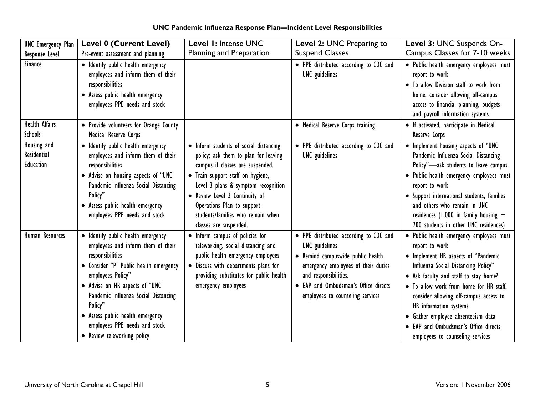| <b>UNC Emergency Plan</b>               | <b>Level 0 (Current Level)</b>                                                                                                                                                                                                                                                                                                                       | Level 1: Intense UNC                                                                                                                                                                                                                                                                                                          | Level 2: UNC Preparing to                                                                                                                                                                                                                        | Level 3: UNC Suspends On-                                                                                                                                                                                                                                                                                                                                                                                          |
|-----------------------------------------|------------------------------------------------------------------------------------------------------------------------------------------------------------------------------------------------------------------------------------------------------------------------------------------------------------------------------------------------------|-------------------------------------------------------------------------------------------------------------------------------------------------------------------------------------------------------------------------------------------------------------------------------------------------------------------------------|--------------------------------------------------------------------------------------------------------------------------------------------------------------------------------------------------------------------------------------------------|--------------------------------------------------------------------------------------------------------------------------------------------------------------------------------------------------------------------------------------------------------------------------------------------------------------------------------------------------------------------------------------------------------------------|
| <b>Response Level</b>                   | Pre-event assessment and planning                                                                                                                                                                                                                                                                                                                    | Planning and Preparation                                                                                                                                                                                                                                                                                                      | <b>Suspend Classes</b>                                                                                                                                                                                                                           | Campus Classes for 7-10 weeks                                                                                                                                                                                                                                                                                                                                                                                      |
| Finance                                 | · Identify public health emergency<br>employees and inform them of their<br>responsibilities<br>• Assess public health emergency<br>employees PPE needs and stock                                                                                                                                                                                    |                                                                                                                                                                                                                                                                                                                               | • PPE distributed according to CDC and<br><b>UNC</b> guidelines                                                                                                                                                                                  | · Public health emergency employees must<br>report to work<br>• To allow Division staff to work from<br>home, consider allowing off-campus<br>access to financial planning, budgets<br>and payroll information systems                                                                                                                                                                                             |
| <b>Health Affairs</b><br><b>Schools</b> | • Provide volunteers for Orange County<br>Medical Reserve Corps                                                                                                                                                                                                                                                                                      |                                                                                                                                                                                                                                                                                                                               | • Medical Reserve Corps training                                                                                                                                                                                                                 | • If activated, participate in Medical<br>Reserve Corps                                                                                                                                                                                                                                                                                                                                                            |
| Housing and<br>Residential<br>Education | • Identify public health emergency<br>employees and inform them of their<br>responsibilities<br>• Advise on housing aspects of "UNC<br>Pandemic Influenza Social Distancing<br>Policy"<br>• Assess public health emergency<br>employees PPE needs and stock                                                                                          | • Inform students of social distancing<br>policy; ask them to plan for leaving<br>campus if classes are suspended.<br>• Train support staff on hygiene,<br>Level 3 plans & symptom recognition<br>• Review Level 3 Continuity of<br>Operations Plan to support<br>students/families who remain when<br>classes are suspended. | • PPE distributed according to CDC and<br><b>UNC</b> guidelines                                                                                                                                                                                  | • Implement housing aspects of "UNC<br>Pandemic Influenza Social Distancing<br>Policy"-ask students to leave campus.<br>· Public health emergency employees must<br>report to work<br>• Support international students, families<br>and others who remain in UNC<br>residences (1,000 in family housing $+$<br>700 students in other UNC residences)                                                               |
| Human Resources                         | · Identify public health emergency<br>employees and inform them of their<br>responsibilities<br>· Consider "PI Public health emergency<br>employees Policy"<br>• Advise on HR aspects of "UNC<br>Pandemic Influenza Social Distancing<br>Policy"<br>• Assess public health emergency<br>employees PPE needs and stock<br>• Review teleworking policy | • Inform campus of policies for<br>teleworking, social distancing and<br>public health emergency employees<br>• Discuss with departments plans for<br>providing substitutes for public health<br>emergency employees                                                                                                          | • PPE distributed according to CDC and<br><b>UNC</b> guidelines<br>• Remind campuswide public health<br>emergency employees of their duties<br>and responsibilities.<br>• EAP and Ombudsman's Office directs<br>employees to counseling services | · Public health emergency employees must<br>report to work<br>• Implement HR aspects of "Pandemic<br>Influenza Social Distancing Policy"<br>• Ask faculty and staff to stay home?<br>• To allow work from home for HR staff,<br>consider allowing off-campus access to<br>HR information systems<br>· Gather employee absenteeism data<br>• EAP and Ombudsman's Office directs<br>employees to counseling services |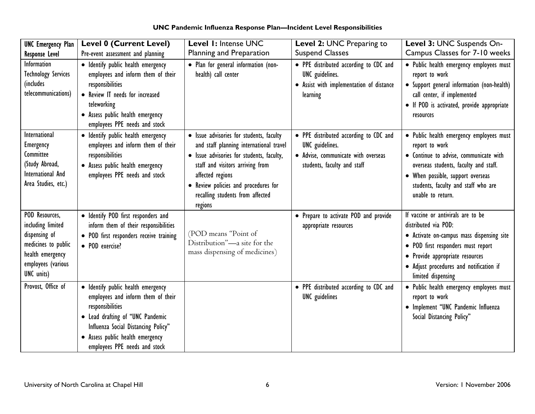| <b>UNC Emergency Plan</b>                                                                                                           | <b>Level 0 (Current Level)</b>                                                                                                                                                                                                               | Level 1: Intense UNC                                                                                                                                                                                                                                                            | Level 2: UNC Preparing to                                                                                                       | Level 3: UNC Suspends On-                                                                                                                                                                                                                         |
|-------------------------------------------------------------------------------------------------------------------------------------|----------------------------------------------------------------------------------------------------------------------------------------------------------------------------------------------------------------------------------------------|---------------------------------------------------------------------------------------------------------------------------------------------------------------------------------------------------------------------------------------------------------------------------------|---------------------------------------------------------------------------------------------------------------------------------|---------------------------------------------------------------------------------------------------------------------------------------------------------------------------------------------------------------------------------------------------|
| <b>Response Level</b>                                                                                                               | Pre-event assessment and planning                                                                                                                                                                                                            | Planning and Preparation                                                                                                                                                                                                                                                        | <b>Suspend Classes</b>                                                                                                          | Campus Classes for 7-10 weeks                                                                                                                                                                                                                     |
| Information<br><b>Technology Services</b><br>(includes<br>telecommunications)                                                       | · Identify public health emergency<br>employees and inform them of their<br>responsibilities<br>• Review IT needs for increased<br>teleworking<br>• Assess public health emergency<br>employees PPE needs and stock                          | • Plan for general information (non-<br>health) call center                                                                                                                                                                                                                     | • PPE distributed according to CDC and<br><b>UNC</b> guidelines.<br>• Assist with implementation of distance<br>learning        | · Public health emergency employees must<br>report to work<br>• Support general information (non-health)<br>call center, if implemented<br>• If POD is activated, provide appropriate<br>resources                                                |
| International<br>Emergency<br>Committee<br>(Study Abroad,<br>International And<br>Area Studies, etc.)                               | · Identify public health emergency<br>employees and inform them of their<br>responsibilities<br>• Assess public health emergency<br>employees PPE needs and stock                                                                            | · Issue advisories for students, faculty<br>and staff planning international travel<br>· Issue advisories for students, faculty,<br>staff and visitors arriving from<br>affected regions<br>• Review policies and procedures for<br>recalling students from affected<br>regions | • PPE distributed according to CDC and<br>UNC guidelines.<br>• Advise, communicate with overseas<br>students, faculty and staff | · Public health emergency employees must<br>report to work<br>• Continue to advise, communicate with<br>overseas students, faculty and staff.<br>• When possible, support overseas<br>students, faculty and staff who are<br>unable to return.    |
| POD Resources,<br>including limited<br>dispensing of<br>medicines to public<br>health emergency<br>employees (various<br>UNC units) | · Identify POD first responders and<br>inform them of their responsibilities<br>• POD first responders receive training<br>• POD exercise?                                                                                                   | (POD means "Point of<br>Distribution"-a site for the<br>mass dispensing of medicines)                                                                                                                                                                                           | • Prepare to activate POD and provide<br>appropriate resources                                                                  | If vaccine or antivirals are to be<br>distributed via POD:<br>• Activate on-campus mass dispensing site<br>• POD first responders must report<br>• Provide appropriate resources<br>· Adjust procedures and notification if<br>limited dispensing |
| Provost, Office of                                                                                                                  | · Identify public health emergency<br>employees and inform them of their<br>responsibilities<br>• Lead drafting of "UNC Pandemic<br>Influenza Social Distancing Policy"<br>• Assess public health emergency<br>employees PPE needs and stock |                                                                                                                                                                                                                                                                                 | • PPE distributed according to CDC and<br><b>UNC</b> guidelines                                                                 | · Public health emergency employees must<br>report to work<br>· Implement "UNC Pandemic Influenza<br>Social Distancing Policy"                                                                                                                    |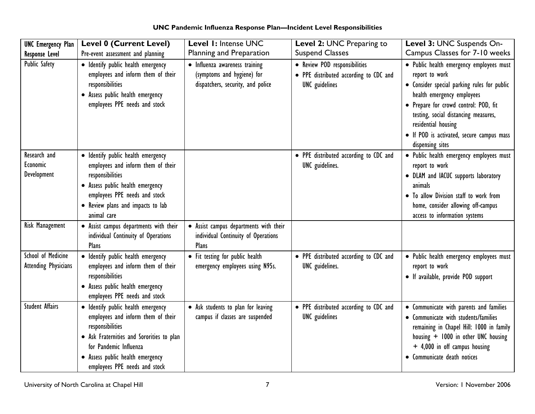| <b>UNC Emergency Plan</b>                         | <b>Level 0 (Current Level)</b>                                                                                                                                                                                                           | Level 1: Intense UNC                                                                              | Level 2: UNC Preparing to                                                                        | Level 3: UNC Suspends On-                                                                                                                                                                                                                                                                                        |
|---------------------------------------------------|------------------------------------------------------------------------------------------------------------------------------------------------------------------------------------------------------------------------------------------|---------------------------------------------------------------------------------------------------|--------------------------------------------------------------------------------------------------|------------------------------------------------------------------------------------------------------------------------------------------------------------------------------------------------------------------------------------------------------------------------------------------------------------------|
| <b>Response Level</b>                             | Pre-event assessment and planning                                                                                                                                                                                                        | Planning and Preparation                                                                          | <b>Suspend Classes</b>                                                                           | Campus Classes for 7-10 weeks                                                                                                                                                                                                                                                                                    |
| <b>Public Safety</b>                              | · Identify public health emergency<br>employees and inform them of their<br>responsibilities<br>• Assess public health emergency<br>employees PPE needs and stock                                                                        | • Influenza awareness training<br>(symptoms and hygiene) for<br>dispatchers, security, and police | • Review POD responsibilities<br>• PPE distributed according to CDC and<br><b>UNC</b> guidelines | · Public health emergency employees must<br>report to work<br>• Consider special parking rules for public<br>health emergency employees<br>• Prepare for crowd control: POD, fit<br>testing, social distancing measures,<br>residential housing<br>• If POD is activated, secure campus mass<br>dispensing sites |
| Research and<br>Economic<br>Development           | · Identify public health emergency<br>employees and inform them of their<br>responsibilities<br>· Assess public health emergency<br>employees PPE needs and stock<br>• Review plans and impacts to lab<br>animal care                    |                                                                                                   | • PPE distributed according to CDC and<br>UNC guidelines.                                        | • Public health emergency employees must<br>report to work<br>• DLAM and IACUC supports laboratory<br>animals<br>. To allow Division staff to work from<br>home, consider allowing off-campus<br>access to information systems                                                                                   |
| <b>Risk Management</b>                            | • Assist campus departments with their<br>individual Continuity of Operations<br>Plans                                                                                                                                                   | • Assist campus departments with their<br>individual Continuity of Operations<br>Plans            |                                                                                                  |                                                                                                                                                                                                                                                                                                                  |
| School of Medicine<br><b>Attending Physicians</b> | · Identify public health emergency<br>employees and inform them of their<br>responsibilities<br>• Assess public health emergency<br>employees PPE needs and stock                                                                        | • Fit testing for public health<br>emergency employees using N95s.                                | • PPE distributed according to CDC and<br>UNC guidelines.                                        | • Public health emergency employees must<br>report to work<br>• If available, provide POD support                                                                                                                                                                                                                |
| <b>Student Affairs</b>                            | · Identify public health emergency<br>employees and inform them of their<br>responsibilities<br>• Ask Fraternities and Sororities to plan<br>for Pandemic Influenza<br>· Assess public health emergency<br>employees PPE needs and stock | • Ask students to plan for leaving<br>campus if classes are suspended                             | • PPE distributed according to CDC and<br><b>UNC</b> guidelines                                  | • Communicate with parents and families<br>• Communicate with students/families<br>remaining in Chapel Hill: 1000 in family<br>housing + 1000 in other UNC housing<br>+ 4,000 in off campus housing<br>• Communicate death notices                                                                               |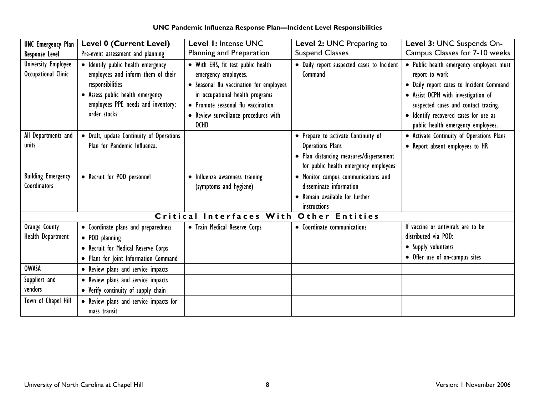| <b>UNC Emergency Plan</b>                         | <b>Level 0 (Current Level)</b>                                                                                                                                                         | Level 1: Intense UNC                                                                                                                                                                                                                    | <b>Level 2: UNC Preparing to</b>                                                                                                                   | Level 3: UNC Suspends On-                                                                                                                                                                                                                                            |
|---------------------------------------------------|----------------------------------------------------------------------------------------------------------------------------------------------------------------------------------------|-----------------------------------------------------------------------------------------------------------------------------------------------------------------------------------------------------------------------------------------|----------------------------------------------------------------------------------------------------------------------------------------------------|----------------------------------------------------------------------------------------------------------------------------------------------------------------------------------------------------------------------------------------------------------------------|
| <b>Response Level</b>                             | Pre-event assessment and planning                                                                                                                                                      | Planning and Preparation                                                                                                                                                                                                                | <b>Suspend Classes</b>                                                                                                                             | Campus Classes for 7-10 weeks                                                                                                                                                                                                                                        |
| <b>University Employee</b><br>Occupational Clinic | · Identify public health emergency<br>employees and inform them of their<br>responsibilities<br>• Assess public health emergency<br>employees PPE needs and inventory;<br>order stocks | • With EHS, fit test public health<br>emergency employees.<br>• Seasonal flu vaccination for employees<br>in occupational health programs<br>• Promote seasonal flu vaccination<br>• Review surveillance procedures with<br><b>OCHD</b> | · Daily report suspected cases to Incident<br>Command                                                                                              | · Public health emergency employees must<br>report to work<br>· Daily report cases to Incident Command<br>• Assist OCPH with investigation of<br>suspected cases and contact tracing.<br>· Identify recovered cases for use as<br>public health emergency employees. |
| All Departments and<br>units                      | • Draft, update Continuity of Operations<br>Plan for Pandemic Influenza.                                                                                                               |                                                                                                                                                                                                                                         | • Prepare to activate Continuity of<br><b>Operations Plans</b><br>• Plan distancing measures/dispersement<br>for public health emergency employees | • Activate Continuity of Operations Plans<br>• Report absent employees to HR                                                                                                                                                                                         |
| <b>Building Emergency</b><br>Coordinators         | • Recruit for POD personnel                                                                                                                                                            | • Influenza awareness training<br>(symptoms and hygiene)                                                                                                                                                                                | • Monitor campus communications and<br>disseminate information<br>• Remain available for further<br>instructions                                   |                                                                                                                                                                                                                                                                      |
|                                                   |                                                                                                                                                                                        | Critical Interfaces With                                                                                                                                                                                                                | <b>Other Entities</b>                                                                                                                              |                                                                                                                                                                                                                                                                      |
| Orange County<br>Health Department                | • Coordinate plans and preparedness<br>• POD planning<br>• Recruit for Medical Reserve Corps<br>• Plans for Joint Information Command                                                  | • Train Medical Reserve Corps                                                                                                                                                                                                           | • Coordinate communications                                                                                                                        | If vaccine or antivirals are to be<br>distributed via POD:<br>• Supply volunteers<br>• Offer use of on-campus sites                                                                                                                                                  |
| <b>OWASA</b>                                      | • Review plans and service impacts                                                                                                                                                     |                                                                                                                                                                                                                                         |                                                                                                                                                    |                                                                                                                                                                                                                                                                      |
| Suppliers and<br>vendors                          | • Review plans and service impacts<br>• Verify continuity of supply chain                                                                                                              |                                                                                                                                                                                                                                         |                                                                                                                                                    |                                                                                                                                                                                                                                                                      |
| Town of Chapel Hill                               | • Review plans and service impacts for<br>mass transit                                                                                                                                 |                                                                                                                                                                                                                                         |                                                                                                                                                    |                                                                                                                                                                                                                                                                      |